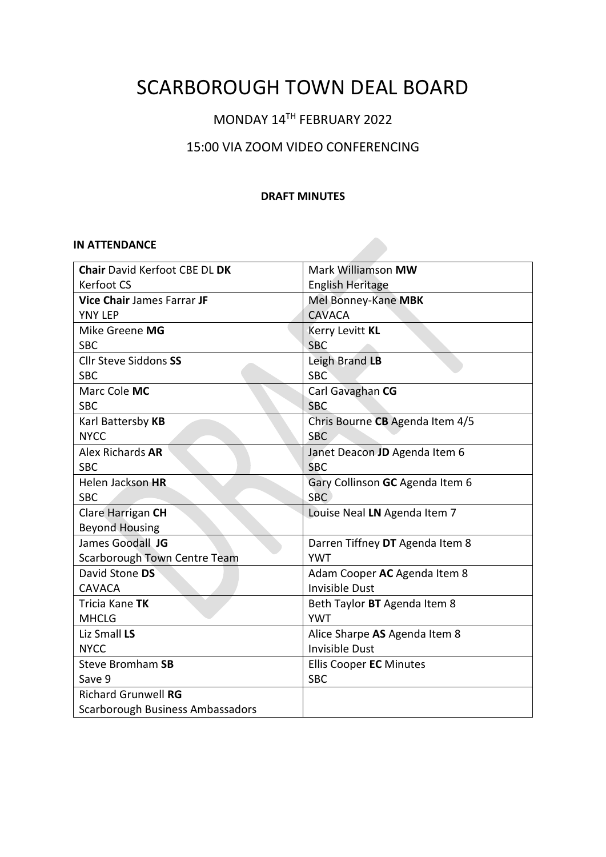# SCARBOROUGH TOWN DEAL BOARD

# MONDAY 14TH FEBRUARY 2022

# 15:00 VIA ZOOM VIDEO CONFERENCING

# **DRAFT MINUTES**

#### **IN ATTENDANCE**

| <b>Chair David Kerfoot CBE DL DK</b> | Mark Williamson MW              |
|--------------------------------------|---------------------------------|
| <b>Kerfoot CS</b>                    | <b>English Heritage</b>         |
| <b>Vice Chair James Farrar JF</b>    | Mel Bonney-Kane MBK             |
| <b>YNY LEP</b>                       | <b>CAVACA</b>                   |
| Mike Greene MG                       | Kerry Levitt KL                 |
| <b>SBC</b>                           | <b>SBC</b>                      |
| <b>Cllr Steve Siddons SS</b>         | Leigh Brand LB                  |
| <b>SBC</b>                           | <b>SBC</b>                      |
| Marc Cole MC                         | Carl Gavaghan CG                |
| <b>SBC</b>                           | <b>SBC</b>                      |
| Karl Battersby KB                    | Chris Bourne CB Agenda Item 4/5 |
| <b>NYCC</b>                          | <b>SBC</b>                      |
| Alex Richards AR                     | Janet Deacon JD Agenda Item 6   |
| <b>SBC</b>                           | <b>SBC</b>                      |
| Helen Jackson HR                     | Gary Collinson GC Agenda Item 6 |
| <b>SBC</b>                           | SBC.                            |
| Clare Harrigan CH                    | Louise Neal LN Agenda Item 7    |
| <b>Beyond Housing</b>                |                                 |
| James Goodall JG                     | Darren Tiffney DT Agenda Item 8 |
| Scarborough Town Centre Team         | <b>YWT</b>                      |
| David Stone DS                       | Adam Cooper AC Agenda Item 8    |
| <b>CAVACA</b>                        | Invisible Dust                  |
| Tricia Kane TK                       | Beth Taylor BT Agenda Item 8    |
| <b>MHCLG</b>                         | <b>YWT</b>                      |
| Liz Small LS                         | Alice Sharpe AS Agenda Item 8   |
| <b>NYCC</b>                          | Invisible Dust                  |
| Steve Bromham SB                     | <b>Ellis Cooper EC Minutes</b>  |
| Save 9                               | <b>SBC</b>                      |
| <b>Richard Grunwell RG</b>           |                                 |
| Scarborough Business Ambassadors     |                                 |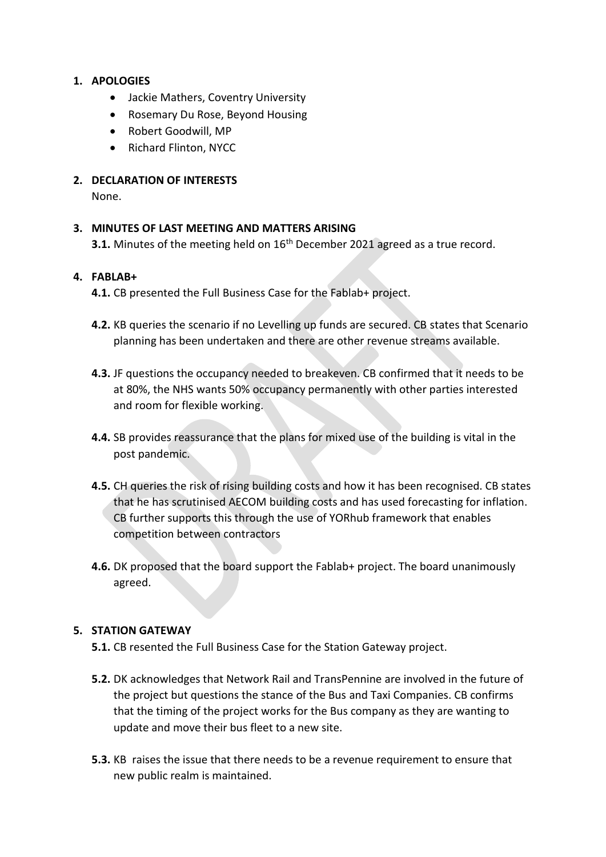# **1. APOLOGIES**

- Jackie Mathers, Coventry University
- Rosemary Du Rose, Beyond Housing
- Robert Goodwill, MP
- Richard Flinton, NYCC

# **2. DECLARATION OF INTERESTS**

None.

# **3. MINUTES OF LAST MEETING AND MATTERS ARISING**

**3.1.** Minutes of the meeting held on 16<sup>th</sup> December 2021 agreed as a true record.

#### **4. FABLAB+**

**4.1.** CB presented the Full Business Case for the Fablab+ project.

- **4.2.** KB queries the scenario if no Levelling up funds are secured. CB states that Scenario planning has been undertaken and there are other revenue streams available.
- **4.3.** JF questions the occupancy needed to breakeven. CB confirmed that it needs to be at 80%, the NHS wants 50% occupancy permanently with other parties interested and room for flexible working.
- **4.4.** SB provides reassurance that the plans for mixed use of the building is vital in the post pandemic.
- **4.5.** CH queries the risk of rising building costs and how it has been recognised. CB states that he has scrutinised AECOM building costs and has used forecasting for inflation. CB further supports this through the use of YORhub framework that enables competition between contractors
- **4.6.** DK proposed that the board support the Fablab+ project. The board unanimously agreed.

#### **5. STATION GATEWAY**

- **5.1.** CB resented the Full Business Case for the Station Gateway project.
- **5.2.** DK acknowledges that Network Rail and TransPennine are involved in the future of the project but questions the stance of the Bus and Taxi Companies. CB confirms that the timing of the project works for the Bus company as they are wanting to update and move their bus fleet to a new site.
- **5.3.** KB raises the issue that there needs to be a revenue requirement to ensure that new public realm is maintained.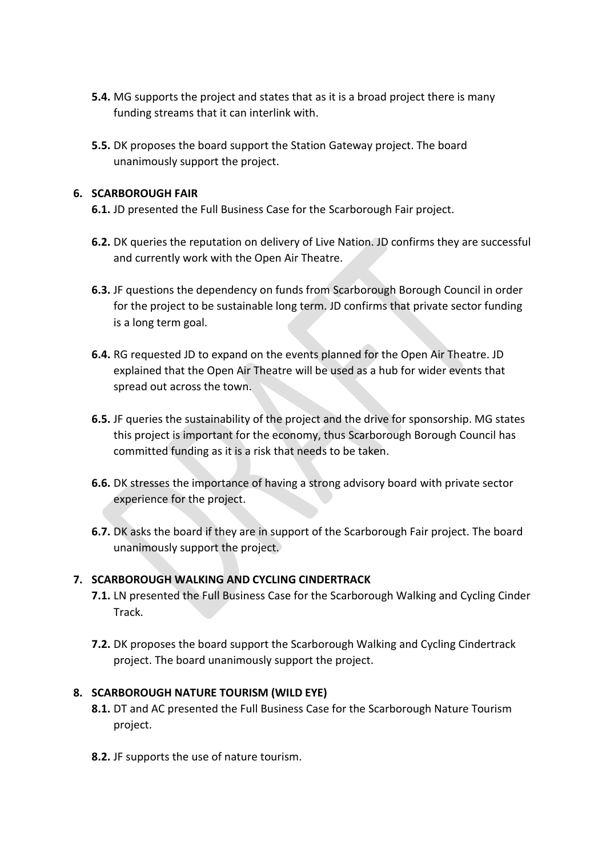- **5.4.** MG supports the project and states that as it is a broad project there is many funding streams that it can interlink with.
- **5.5.** DK proposes the board support the Station Gateway project. The board unanimously support the project.

# **6. SCARBOROUGH FAIR**

- **6.1.** JD presented the Full Business Case for the Scarborough Fair project.
- **6.2.** DK queries the reputation on delivery of Live Nation. JD confirms they are successful and currently work with the Open Air Theatre.
- **6.3.** JF questions the dependency on funds from Scarborough Borough Council in order for the project to be sustainable long term. JD confirms that private sector funding is a long term goal.
- **6.4.** RG requested JD to expand on the events planned for the Open Air Theatre. JD explained that the Open Air Theatre will be used as a hub for wider events that spread out across the town.
- **6.5.** JF queries the sustainability of the project and the drive for sponsorship. MG states this project is important for the economy, thus Scarborough Borough Council has committed funding as it is a risk that needs to be taken.
- **6.6.** DK stresses the importance of having a strong advisory board with private sector experience for the project.
- **6.7.** DK asks the board if they are in support of the Scarborough Fair project. The board unanimously support the project.

# **7. SCARBOROUGH WALKING AND CYCLING CINDERTRACK**

- **7.1.** LN presented the Full Business Case for the Scarborough Walking and Cycling Cinder Track.
- **7.2.** DK proposes the board support the Scarborough Walking and Cycling Cindertrack project. The board unanimously support the project.

#### **8. SCARBOROUGH NATURE TOURISM (WILD EYE)**

- **8.1.** DT and AC presented the Full Business Case for the Scarborough Nature Tourism project.
- **8.2.** JF supports the use of nature tourism.